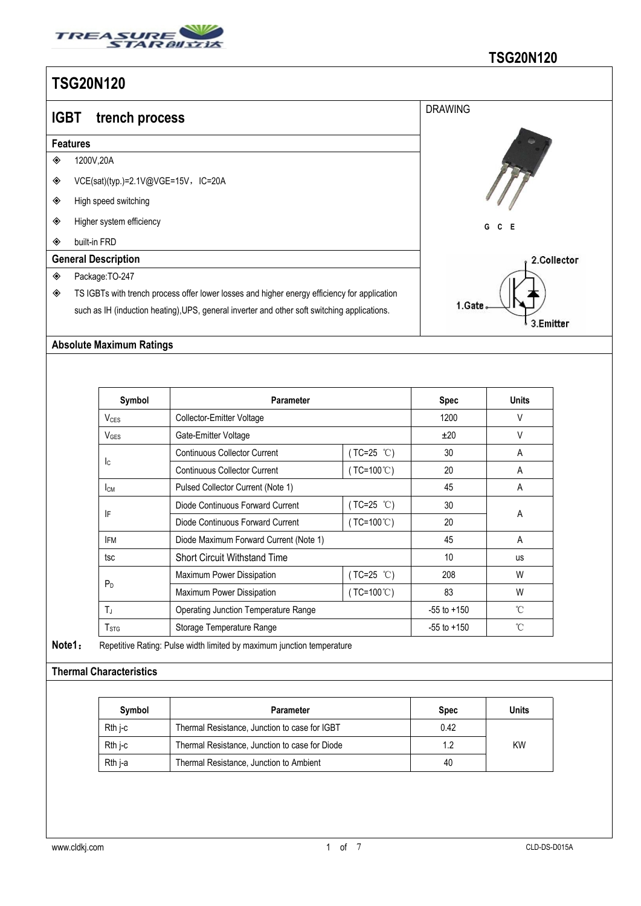

|   | <b>IGBT</b><br>trench process                                                                | <b>DRAWING</b>       |  |  |  |  |  |  |
|---|----------------------------------------------------------------------------------------------|----------------------|--|--|--|--|--|--|
|   | <b>Features</b>                                                                              |                      |  |  |  |  |  |  |
| ◈ | 1200V,20A                                                                                    |                      |  |  |  |  |  |  |
| ◈ | VCE(sat)(typ.)=2.1V@VGE=15V,IC=20A                                                           |                      |  |  |  |  |  |  |
| ◈ | High speed switching                                                                         |                      |  |  |  |  |  |  |
| ◈ | Higher system efficiency                                                                     | G<br>C E             |  |  |  |  |  |  |
| ◈ | built-in FRD                                                                                 |                      |  |  |  |  |  |  |
|   | <b>General Description</b>                                                                   | 2.Collector          |  |  |  |  |  |  |
| ◈ | Package: TO-247                                                                              |                      |  |  |  |  |  |  |
| ◈ | TS IGBTs with trench process offer lower losses and higher energy efficiency for application |                      |  |  |  |  |  |  |
|   | such as IH (induction heating), UPS, general inverter and other soft switching applications. | 1.Gate.<br>3.Emitter |  |  |  |  |  |  |
|   |                                                                                              |                      |  |  |  |  |  |  |

## **Absolute Maximum Ratings**

| Symbol           | <b>Parameter</b>                            |                     | <b>Spec</b>     | <b>Units</b> |  |
|------------------|---------------------------------------------|---------------------|-----------------|--------------|--|
| $V_{CES}$        | Collector-Emitter Voltage                   |                     | 1200            | V            |  |
| $V_{\text{GES}}$ | Gate-Emitter Voltage                        |                     | ±20             | V            |  |
|                  | <b>Continuous Collector Current</b>         | $(TC=25 °C)$        | 30              | A            |  |
| Ic.              | <b>Continuous Collector Current</b>         | $(TC=100^{\circ}C)$ | 20              | A            |  |
| Iсм              | Pulsed Collector Current (Note 1)           |                     | 45              | A            |  |
|                  | Diode Continuous Forward Current            | $(TC=25 °C)$        | 30              |              |  |
| IF               | Diode Continuous Forward Current            | $(TC=100^{\circ}C)$ | 20              | A            |  |
| <b>IFM</b>       | Diode Maximum Forward Current (Note 1)      |                     | 45              | A            |  |
| tsc              | <b>Short Circuit Withstand Time</b>         |                     | 10              | <b>us</b>    |  |
|                  | Maximum Power Dissipation                   | ( $TC=25$ °C)       | 208             | W            |  |
| P <sub>D</sub>   | Maximum Power Dissipation                   | $(TC=100^{\circ}C)$ | 83              | W            |  |
| $T_{J}$          | <b>Operating Junction Temperature Range</b> |                     | $-55$ to $+150$ | °C           |  |
| T <sub>STG</sub> | Storage Temperature Range                   |                     | $-55$ to $+150$ | °C           |  |

**Note1**: Repetitive Rating: Pulse width limited by maximum junction temperature

## **Thermal Characteristics**

| Symbol    | Parameter                                      | <b>Spec</b> | Units     |
|-----------|------------------------------------------------|-------------|-----------|
| Rth i-c   | Thermal Resistance, Junction to case for IGBT  | 0.42        |           |
| $Rth$ j-c | Thermal Resistance, Junction to case for Diode | 1.2         | <b>KW</b> |
| Rth i-a   | Thermal Resistance, Junction to Ambient        | 40          |           |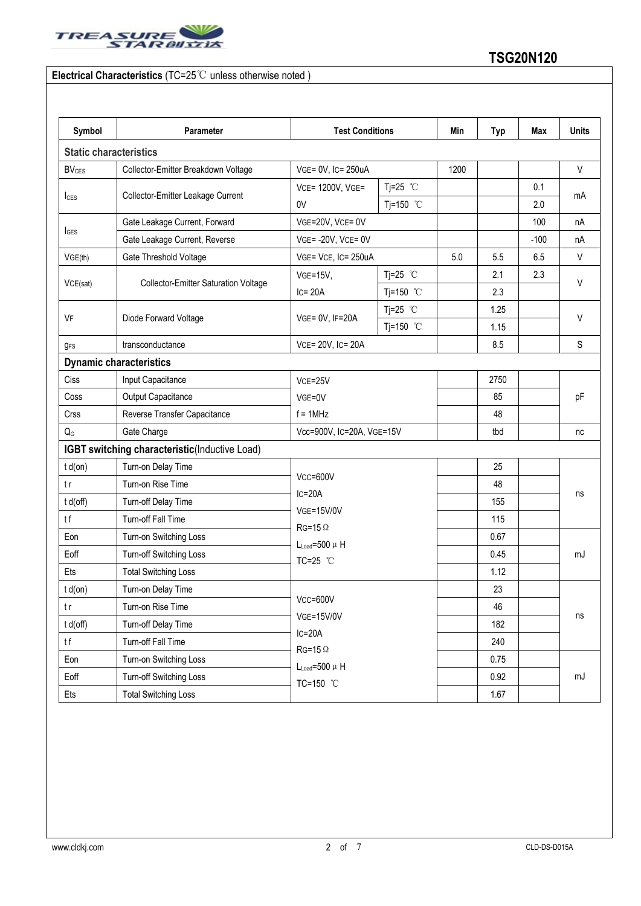

## **Electrical Characteristics** (TC=25℃ unless otherwise noted )

| Symbol                  | Parameter                                     | <b>Test Conditions</b>                                                                  |                    | Min  | <b>Typ</b> | Max    | <b>Units</b> |
|-------------------------|-----------------------------------------------|-----------------------------------------------------------------------------------------|--------------------|------|------------|--------|--------------|
|                         | <b>Static characteristics</b>                 |                                                                                         |                    |      |            |        |              |
| <b>BV<sub>CES</sub></b> | Collector-Emitter Breakdown Voltage           | VGE= 0V, IC= 250uA                                                                      |                    | 1200 |            |        | V            |
|                         | Collector-Emitter Leakage Current             | VCE= 1200V, VGE=                                                                        | Tj=25 $°C$         |      | 0.1        |        |              |
| <b>I</b> CES            |                                               | 0V                                                                                      | Tj=150 $°C$        |      |            | 2.0    | mA           |
|                         | Gate Leakage Current, Forward                 | VGE=20V, VCE= 0V                                                                        |                    |      |            | 100    | nA           |
| <b>I</b> GES            | Gate Leakage Current, Reverse                 | VGE=-20V, VCE=0V                                                                        |                    |      |            | $-100$ | nA           |
| VGE(th)                 | Gate Threshold Voltage                        | VGE= VCE, IC= 250uA                                                                     |                    | 5.0  | 5.5        | 6.5    | $\vee$       |
|                         | <b>Collector-Emitter Saturation Voltage</b>   | <b>VGE=15V,</b>                                                                         | Tj=25 $°C$         |      | 2.1        | 2.3    | V            |
| VCE(sat)                |                                               | $IC = 20A$                                                                              | Tj=150 °C          |      | 2.3        |        |              |
|                         | Diode Forward Voltage                         | VGE= 0V, IF=20A                                                                         | Tj=25 $^{\circ}$ C |      | 1.25       |        | V            |
|                         |                                               |                                                                                         | Tj=150 °C          |      | 1.15       |        |              |
|                         | transconductance                              | VCE= 20V, IC= 20A                                                                       |                    |      | 8.5        |        | S            |
|                         | <b>Dynamic characteristics</b>                |                                                                                         |                    |      |            |        |              |
|                         | Input Capacitance                             | VCE=25V<br>VGE=0V<br>$f = 1$ MHz                                                        |                    |      | 2750       |        | pF           |
| Coss                    | Output Capacitance                            |                                                                                         |                    |      | 85         |        |              |
| Crss                    | Reverse Transfer Capacitance                  |                                                                                         |                    |      | 48         |        |              |
|                         | Gate Charge                                   | Vcc=900V, IC=20A, VGE=15V                                                               |                    |      | tbd        |        | nc           |
|                         | IGBT switching characteristic(Inductive Load) |                                                                                         |                    |      |            |        |              |
| $t d($ on $)$           | Turn-on Delay Time                            |                                                                                         |                    |      | 25         |        |              |
|                         | Turn-on Rise Time                             | $Vcc = 600V$                                                                            |                    |      | 48         |        |              |
| t d(off)                | Turn-off Delay Time                           | $IC = 20A$<br><b>VGE=15V/0V</b><br>$RG=15 \Omega$<br>$L_{Load} = 500 \mu H$<br>TC=25 °C |                    |      | 155        |        | ns           |
|                         | Turn-off Fall Time                            |                                                                                         |                    |      | 115        |        |              |
| Eon                     | Turn-on Switching Loss                        |                                                                                         |                    |      | 0.67       |        | mJ           |
|                         | Turn-off Switching Loss                       |                                                                                         |                    |      | 0.45       |        |              |
|                         | <b>Total Switching Loss</b>                   |                                                                                         |                    |      | 1.12       |        |              |
| $t d($ on $)$           | Turn-on Delay Time                            |                                                                                         |                    |      | 23         |        | ns           |
|                         | Turn-on Rise Time                             | $Vcc = 600V$<br><b>VGE=15V/0V</b><br>$IC=20A$<br>$RG=15 \Omega$                         |                    |      | 46         |        |              |
| t d(off)                | Turn-off Delay Time                           |                                                                                         |                    |      | 182        |        |              |
|                         | Turn-off Fall Time                            |                                                                                         |                    |      | 240        |        |              |
|                         | Turn-on Switching Loss                        | $L_{Load} = 500 \mu H$                                                                  |                    |      | 0.75       |        |              |
| Eoff                    | Turn-off Switching Loss                       | TC=150 °C                                                                               |                    |      | 0.92       |        | mJ           |
|                         | <b>Total Switching Loss</b>                   |                                                                                         |                    |      | 1.67       |        |              |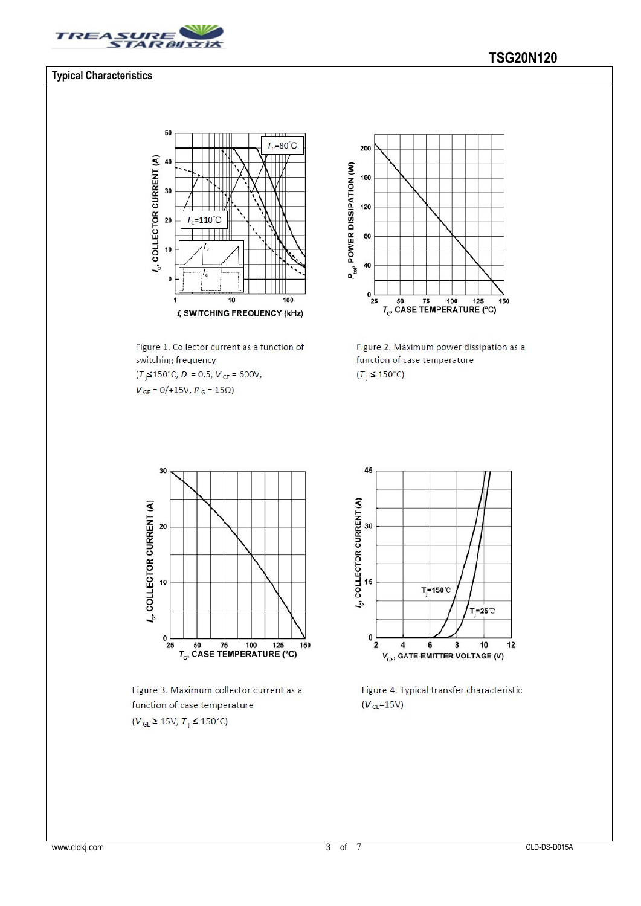

### **Typical Characteristics**

#### 50  $\overline{\mathbf{u}}$  $T_c = 80^{\circ}C$  $l_c$ , COLLECTOR CURRENT (A) 40 30  $=110^{\circ}C$ 20 T,  $10$  $\mathbf{0}$  $\overline{10}$  $\frac{1}{100}$ 1 f, SWITCHING FREQUENCY (kHz)

Figure 1. Collector current as a function of switching frequency  $(T<sub>j</sub> \le 150^{\circ} \text{C}, D = 0.5, V<sub>CE</sub> = 600 \text{V},$ 

 $V_{GE} = 0/+15V, R_G = 15\Omega$ 



Figure 2. Maximum power dissipation as a function of case temperature  $(T_i \leq 150^{\circ}C)$ 



Figure 3. Maximum collector current as a function of case temperature  $(V_{GE} \ge 15V, T_j \le 150^{\circ}C)$ 



Figure 4. Typical transfer characteristic  $(V_{CE} = 15V)$ 

# **TSG20N120**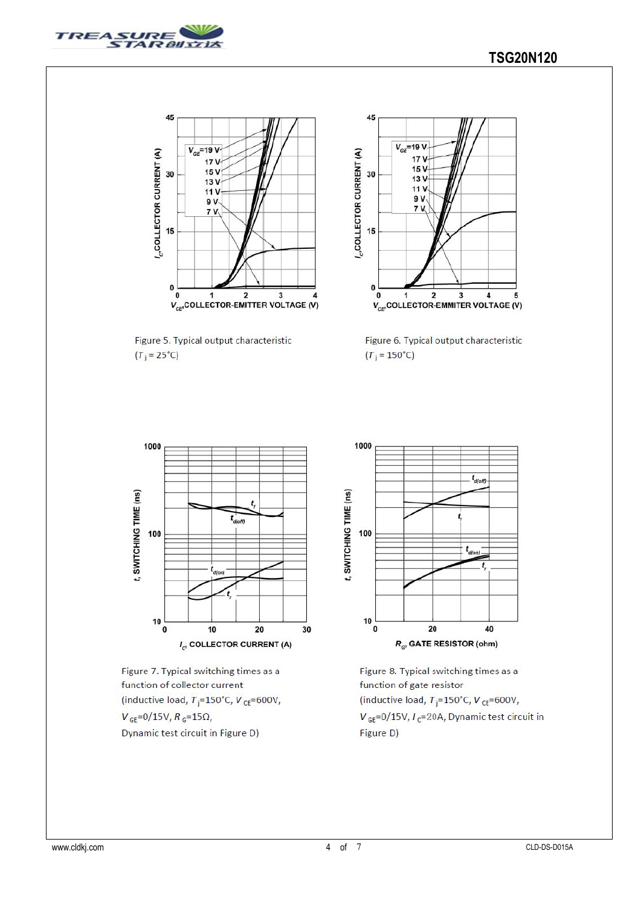



Figure 5. Typical output characteristic  $(T_j = 25^{\circ}C)$ 



Figure 6. Typical output characteristic  $(T_j = 150^{\circ}C)$ 



Figure 7. Typical switching times as a function of collector current (inductive load,  $T_i = 150^{\circ}$ C,  $V_{CE} = 600V$ ,  $V_{GE} = 0/15V, R_G = 15\Omega,$ Dynamic test circuit in Figure D)



Figure 8. Typical switching times as a function of gate resistor (inductive load,  $T_i = 150^{\circ}$ C,  $V_{CE} = 600V$ ,  $V_{GE}$ =0/15V,  $I_c$ =20A, Dynamic test circuit in Figure D)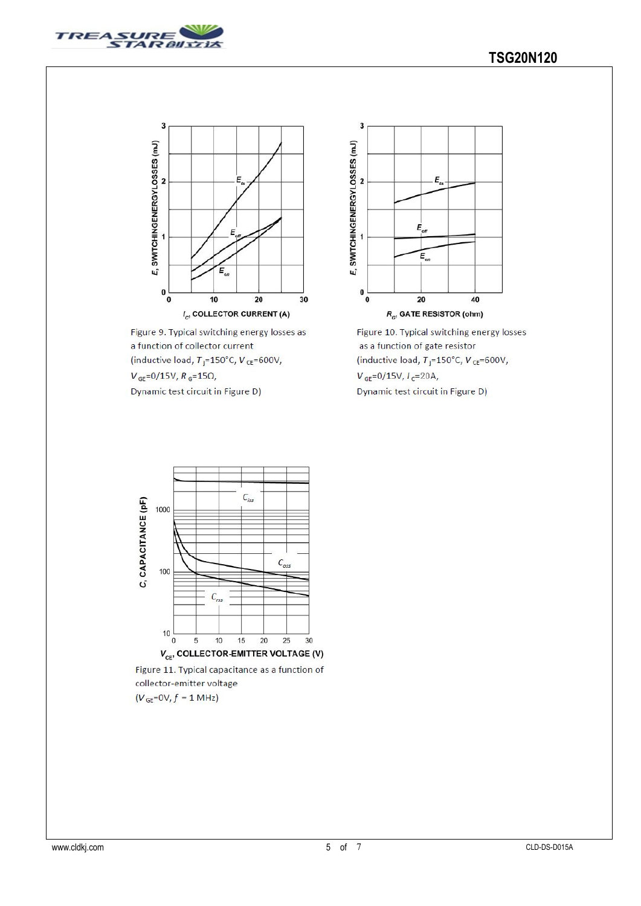



Figure 9. Typical switching energy losses as a function of collector current (inductive load,  $T_j = 150^{\circ}$ C,  $V_{CE} = 600V$ ,  $V_{\text{GE}} = 0/15V, R_{\text{G}} = 15\Omega,$ 

Dynamic test circuit in Figure D)



Figure 10. Typical switching energy losses as a function of gate resistor (inductive load,  $T_j = 150^{\circ}$ C,  $V_{CE} = 600V$ ,  $V_{GE} = 0/15V, I_C = 20A,$ 

Dynamic test circuit in Figure D)



collector-emitter voltage  $(V_{\text{GE}}\text{=OV}, f\text{= 1 MHz})$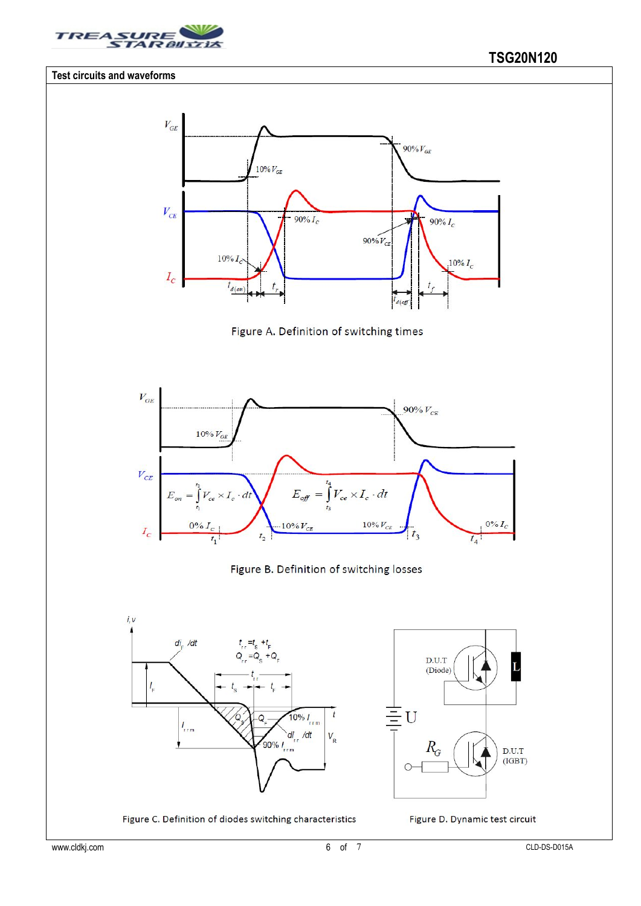

### **Test circuits and waveforms**







## Figure B. Definition of switching losses



Figure C. Definition of diodes switching characteristics



Figure D. Dynamic test circuit